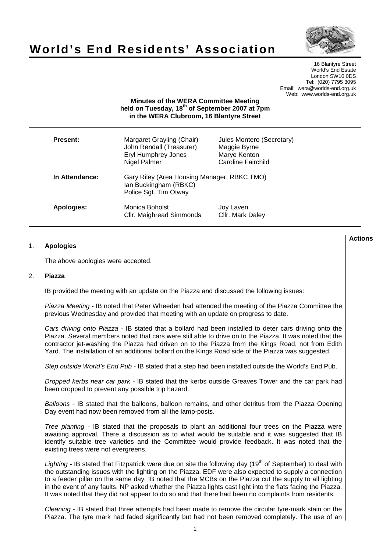



16 Blantyre Street World's End Estate London SW10 0DS Tel: (020) 7795 3095 Email: wera@worlds-end.org.uk Web: www.worlds-end.org.uk

# **Minutes of the WERA Committee Meeting held on Tuesday, 18th of September 2007 at 7pm in the WERA Clubroom, 16 Blantyre Street**

| Present:       | Margaret Grayling (Chair)<br>John Rendall (Treasurer)<br><b>Eryl Humphrey Jones</b><br>Nigel Palmer | Jules Montero (Secretary)<br>Maggie Byrne<br>Marye Kenton<br>Caroline Fairchild |
|----------------|-----------------------------------------------------------------------------------------------------|---------------------------------------------------------------------------------|
| In Attendance: | Gary Riley (Area Housing Manager, RBKC TMO)<br>Ian Buckingham (RBKC)<br>Police Sgt. Tim Otway       |                                                                                 |
| Apologies:     | Monica Boholst<br>Cllr. Maighread Simmonds                                                          | Joy Laven<br>Cllr. Mark Daley                                                   |

# 1. **Apologies**

The above apologies were accepted.

#### 2. **Piazza**

IB provided the meeting with an update on the Piazza and discussed the following issues:

Piazza Meeting - IB noted that Peter Wheeden had attended the meeting of the Piazza Committee the previous Wednesday and provided that meeting with an update on progress to date.

Cars driving onto Piazza - IB stated that a bollard had been installed to deter cars driving onto the Piazza. Several members noted that cars were still able to drive on to the Piazza. It was noted that the contractor jet-washing the Piazza had driven on to the Piazza from the Kings Road, not from Edith Yard. The installation of an additional bollard on the Kings Road side of the Piazza was suggested.

Step outside World's End Pub - IB stated that a step had been installed outside the World's End Pub.

Dropped kerbs near car park - IB stated that the kerbs outside Greaves Tower and the car park had been dropped to prevent any possible trip hazard.

Balloons - IB stated that the balloons, balloon remains, and other detritus from the Piazza Opening Day event had now been removed from all the lamp-posts.

Tree planting - IB stated that the proposals to plant an additional four trees on the Piazza were awaiting approval. There a discussion as to what would be suitable and it was suggested that IB identify suitable tree varieties and the Committee would provide feedback. It was noted that the existing trees were not evergreens.

Lighting - IB stated that Fitzpatrick were due on site the following day (19<sup>th</sup> of September) to deal with the outstanding issues with the lighting on the Piazza. EDF were also expected to supply a connection to a feeder pillar on the same day. IB noted that the MCBs on the Piazza cut the supply to all lighting in the event of any faults. NP asked whether the Piazza lights cast light into the flats facing the Piazza. It was noted that they did not appear to do so and that there had been no complaints from residents.

Cleaning - IB stated that three attempts had been made to remove the circular tyre-mark stain on the Piazza. The tyre mark had faded significantly but had not been removed completely. The use of an

**Lactions のことには、このことにより、このことにより、このことになります。 そのことには、このことにより、このことにより、このことになります。 そのことには、このことにより、このことには、このことにより、このことにより、このことにより、このことにより、このことにより、このことにより、このことにより、このことにより、このことにより、このことにより、このことにより、このことにより、このことにより、このことによっていることになっ**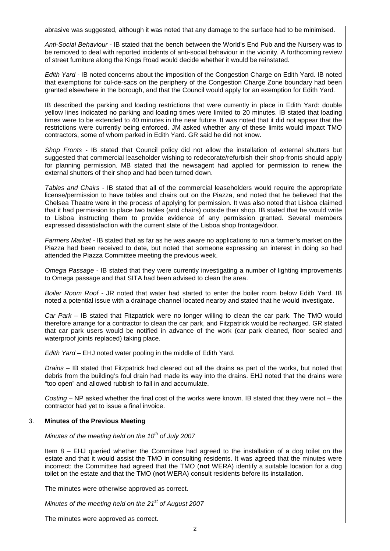abrasive was suggested, although it was noted that any damage to the surface had to be minimised.

Anti-Social Behaviour - IB stated that the bench between the World's End Pub and the Nursery was to be removed to deal with reported incidents of anti-social behaviour in the vicinity. A forthcoming review of street furniture along the Kings Road would decide whether it would be reinstated.

Edith Yard - IB noted concerns about the imposition of the Congestion Charge on Edith Yard. IB noted that exemptions for cul-de-sacs on the periphery of the Congestion Charge Zone boundary had been granted elsewhere in the borough, and that the Council would apply for an exemption for Edith Yard.

IB described the parking and loading restrictions that were currently in place in Edith Yard: double yellow lines indicated no parking and loading times were limited to 20 minutes. IB stated that loading times were to be extended to 40 minutes in the near future. It was noted that it did not appear that the restrictions were currently being enforced. JM asked whether any of these limits would impact TMO contractors, some of whom parked in Edith Yard. GR said he did not know.

Shop Fronts - IB stated that Council policy did not allow the installation of external shutters but suggested that commercial leaseholder wishing to redecorate/refurbish their shop-fronts should apply for planning permission. MB stated that the newsagent had applied for permission to renew the external shutters of their shop and had been turned down.

Tables and Chairs - IB stated that all of the commercial leaseholders would require the appropriate license/permission to have tables and chairs out on the Piazza, and noted that he believed that the Chelsea Theatre were in the process of applying for permission. It was also noted that Lisboa claimed that it had permission to place two tables (and chairs) outside their shop. IB stated that he would write to Lisboa instructing them to provide evidence of any permission granted. Several members expressed dissatisfaction with the current state of the Lisboa shop frontage/door.

Farmers Market - IB stated that as far as he was aware no applications to run a farmer's market on the Piazza had been received to date, but noted that someone expressing an interest in doing so had attended the Piazza Committee meeting the previous week.

Omega Passage - IB stated that they were currently investigating a number of lighting improvements to Omega passage and that SITA had been advised to clean the area.

Boiler Room Roof - JR noted that water had started to enter the boiler room below Edith Yard. IB noted a potential issue with a drainage channel located nearby and stated that he would investigate.

Car Park – IB stated that Fitzpatrick were no longer willing to clean the car park. The TMO would therefore arrange for a contractor to clean the car park, and Fitzpatrick would be recharged. GR stated that car park users would be notified in advance of the work (car park cleaned, floor sealed and waterproof joints replaced) taking place.

Edith Yard – EHJ noted water pooling in the middle of Edith Yard.

Drains – IB stated that Fitzpatrick had cleared out all the drains as part of the works, but noted that debris from the building's foul drain had made its way into the drains. EHJ noted that the drains were "too open" and allowed rubbish to fall in and accumulate.

Costing – NP asked whether the final cost of the works were known. IB stated that they were not – the contractor had yet to issue a final invoice.

#### 3. **Minutes of the Previous Meeting**

Minutes of the meeting held on the 10<sup>th</sup> of July 2007

Item 8 – EHJ queried whether the Committee had agreed to the installation of a dog toilet on the estate and that it would assist the TMO in consulting residents. It was agreed that the minutes were incorrect: the Committee had agreed that the TMO (**not** WERA) identify a suitable location for a dog toilet on the estate and that the TMO (**not** WERA) consult residents before its installation.

The minutes were otherwise approved as correct.

Minutes of the meeting held on the  $21<sup>st</sup>$  of August 2007

The minutes were approved as correct.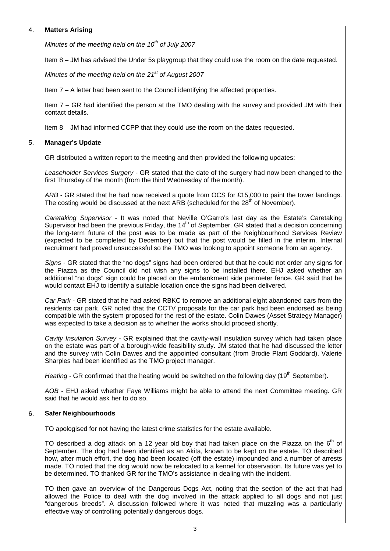## 4. **Matters Arising**

Minutes of the meeting held on the  $10<sup>th</sup>$  of July 2007

Item 8 – JM has advised the Under 5s playgroup that they could use the room on the date requested.

Minutes of the meeting held on the  $21<sup>st</sup>$  of August 2007

Item 7 – A letter had been sent to the Council identifying the affected properties.

Item 7 – GR had identified the person at the TMO dealing with the survey and provided JM with their contact details.

Item 8 – JM had informed CCPP that they could use the room on the dates requested.

## 5. **Manager's Update**

GR distributed a written report to the meeting and then provided the following updates:

Leaseholder Services Surgery - GR stated that the date of the surgery had now been changed to the first Thursday of the month (from the third Wednesday of the month).

ARB - GR stated that he had now received a quote from OCS for £15,000 to paint the tower landings. The costing would be discussed at the next ARB (scheduled for the 28<sup>th</sup> of November).

Caretaking Supervisor - It was noted that Neville O'Garro's last day as the Estate's Caretaking Supervisor had been the previous Friday, the 14<sup>th</sup> of September. GR stated that a decision concerning the long-term future of the post was to be made as part of the Neighbourhood Services Review (expected to be completed by December) but that the post would be filled in the interim. Internal recruitment had proved unsuccessful so the TMO was looking to appoint someone from an agency.

Signs - GR stated that the "no dogs" signs had been ordered but that he could not order any signs for the Piazza as the Council did not wish any signs to be installed there. EHJ asked whether an additional "no dogs" sign could be placed on the embankment side perimeter fence. GR said that he would contact EHJ to identify a suitable location once the signs had been delivered.

Car Park - GR stated that he had asked RBKC to remove an additional eight abandoned cars from the residents car park. GR noted that the CCTV proposals for the car park had been endorsed as being compatible with the system proposed for the rest of the estate. Colin Dawes (Asset Strategy Manager) was expected to take a decision as to whether the works should proceed shortly.

Cavity Insulation Survey - GR explained that the cavity-wall insulation survey which had taken place on the estate was part of a borough-wide feasibility study. JM stated that he had discussed the letter and the survey with Colin Dawes and the appointed consultant (from Brodie Plant Goddard). Valerie Sharples had been identified as the TMO project manager.

Heating - GR confirmed that the heating would be switched on the following day (19<sup>th</sup> September).

AOB - EHJ asked whether Faye Williams might be able to attend the next Committee meeting. GR said that he would ask her to do so.

#### 6. **Safer Neighbourhoods**

TO apologised for not having the latest crime statistics for the estate available.

TO described a dog attack on a 12 year old boy that had taken place on the Piazza on the  $6<sup>th</sup>$  of September. The dog had been identified as an Akita, known to be kept on the estate. TO described how, after much effort, the dog had been located (off the estate) impounded and a number of arrests made. TO noted that the dog would now be relocated to a kennel for observation. Its future was yet to be determined. TO thanked GR for the TMO's assistance in dealing with the incident.

TO then gave an overview of the Dangerous Dogs Act, noting that the section of the act that had allowed the Police to deal with the dog involved in the attack applied to all dogs and not just "dangerous breeds". A discussion followed where it was noted that muzzling was a particularly effective way of controlling potentially dangerous dogs.